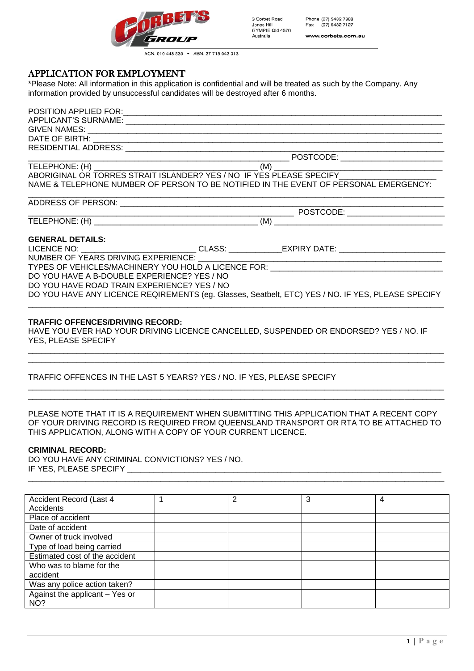

| 3 Corbet Road   |  |
|-----------------|--|
| Jones Hill      |  |
| GYMPIE Old 4570 |  |
| Australia       |  |

Phone (07) 5482 7388 Fax (07) 5482 7127 www.corbets.com.au

ACN: 010 448 530 . ABN: 27 715 042 313

# APPLICATION FOR EMPLOYMENT

\*Please Note: All information in this application is confidential and will be treated as such by the Company. Any information provided by unsuccessful candidates will be destroyed after 6 months.

|                                             | TELEPHONE: (H)<br>ABORIGINAL OR TORRES STRAIT ISLANDER? YES / NO IF YES PLEASE SPECIFY              |  |
|---------------------------------------------|-----------------------------------------------------------------------------------------------------|--|
|                                             |                                                                                                     |  |
|                                             | NAME & TELEPHONE NUMBER OF PERSON TO BE NOTIFIED IN THE EVENT OF PERSONAL EMERGENCY:                |  |
|                                             |                                                                                                     |  |
|                                             |                                                                                                     |  |
|                                             |                                                                                                     |  |
| <b>GENERAL DETAILS:</b>                     |                                                                                                     |  |
|                                             | LICENCE NO: _____________________________CLASS: _____________EXPIRY DATE: _________________________ |  |
|                                             | NUMBER OF YEARS DRIVING EXPERIENCE:                                                                 |  |
|                                             | TYPES OF VEHICLES/MACHINERY YOU HOLD A LICENCE FOR: _____________________________                   |  |
| DO YOU HAVE A B-DOUBLE EXPERIENCE? YES / NO |                                                                                                     |  |
| DO YOU HAVE ROAD TRAIN EXPERIENCE? YES / NO |                                                                                                     |  |
|                                             | DO YOU HAVE ANY LICENCE REQIREMENTS (eg. Glasses, Seatbelt, ETC) YES / NO. IF YES, PLEASE SPECIFY   |  |
|                                             |                                                                                                     |  |

#### **TRAFFIC OFFENCES/DRIVING RECORD:**

HAVE YOU EVER HAD YOUR DRIVING LICENCE CANCELLED, SUSPENDED OR ENDORSED? YES / NO. IF YES, PLEASE SPECIFY

\_\_\_\_\_\_\_\_\_\_\_\_\_\_\_\_\_\_\_\_\_\_\_\_\_\_\_\_\_\_\_\_\_\_\_\_\_\_\_\_\_\_\_\_\_\_\_\_\_\_\_\_\_\_\_\_\_\_\_\_\_\_\_\_\_\_\_\_\_\_\_\_\_\_\_\_\_\_\_\_\_\_\_\_\_\_\_\_\_\_\_\_\_\_ \_\_\_\_\_\_\_\_\_\_\_\_\_\_\_\_\_\_\_\_\_\_\_\_\_\_\_\_\_\_\_\_\_\_\_\_\_\_\_\_\_\_\_\_\_\_\_\_\_\_\_\_\_\_\_\_\_\_\_\_\_\_\_\_\_\_\_\_\_\_\_\_\_\_\_\_\_\_\_\_\_\_\_\_\_\_\_\_\_\_\_\_\_\_

\_\_\_\_\_\_\_\_\_\_\_\_\_\_\_\_\_\_\_\_\_\_\_\_\_\_\_\_\_\_\_\_\_\_\_\_\_\_\_\_\_\_\_\_\_\_\_\_\_\_\_\_\_\_\_\_\_\_\_\_\_\_\_\_\_\_\_\_\_\_\_\_\_\_\_\_\_\_\_\_\_\_\_\_\_\_\_\_\_\_\_\_\_\_ \_\_\_\_\_\_\_\_\_\_\_\_\_\_\_\_\_\_\_\_\_\_\_\_\_\_\_\_\_\_\_\_\_\_\_\_\_\_\_\_\_\_\_\_\_\_\_\_\_\_\_\_\_\_\_\_\_\_\_\_\_\_\_\_\_\_\_\_\_\_\_\_\_\_\_\_\_\_\_\_\_\_\_\_\_\_\_\_\_\_\_\_\_\_

## TRAFFIC OFFENCES IN THE LAST 5 YEARS? YES / NO. IF YES, PLEASE SPECIFY

### PLEASE NOTE THAT IT IS A REQUIREMENT WHEN SUBMITTING THIS APPLICATION THAT A RECENT COPY OF YOUR DRIVING RECORD IS REQUIRED FROM QUEENSLAND TRANSPORT OR RTA TO BE ATTACHED TO THIS APPLICATION, ALONG WITH A COPY OF YOUR CURRENT LICENCE.

\_\_\_\_\_\_\_\_\_\_\_\_\_\_\_\_\_\_\_\_\_\_\_\_\_\_\_\_\_\_\_\_\_\_\_\_\_\_\_\_\_\_\_\_\_\_\_\_\_\_\_\_\_\_\_\_\_\_\_\_\_\_\_\_\_\_\_\_\_\_\_\_\_\_\_\_\_\_\_\_\_\_\_\_\_\_\_\_\_\_\_\_\_\_

#### **CRIMINAL RECORD:**

DO YOU HAVE ANY CRIMINAL CONVICTIONS? YES / NO. IF YES, PLEASE SPECIFY

| Accident Record (Last 4        | 2 | 3 | 4 |
|--------------------------------|---|---|---|
| Accidents                      |   |   |   |
| Place of accident              |   |   |   |
| Date of accident               |   |   |   |
| Owner of truck involved        |   |   |   |
| Type of load being carried     |   |   |   |
| Estimated cost of the accident |   |   |   |
| Who was to blame for the       |   |   |   |
| accident                       |   |   |   |
| Was any police action taken?   |   |   |   |
| Against the applicant - Yes or |   |   |   |
| NO?                            |   |   |   |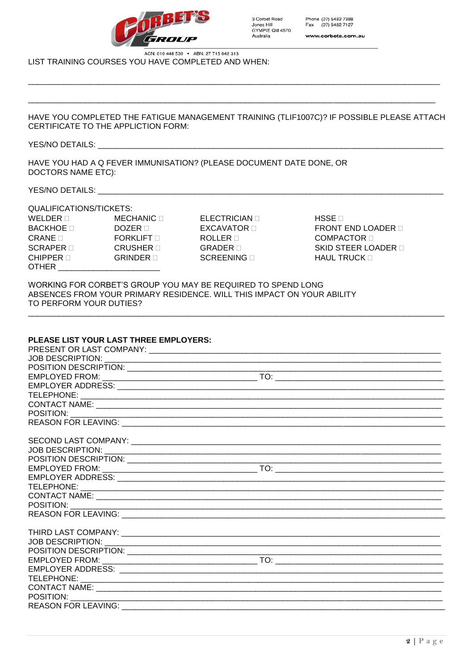

ACN: 010 448 530 . ABN: 27 715 042 313 LIST TRAINING COURSES YOU HAVE COMPLETED AND WHEN:

HAVE YOU COMPLETED THE FATIGUE MANAGEMENT TRAINING (TLIF1007C)? IF POSSIBLE PLEASE ATTACH CERTIFICATE TO THE APPLICTION FORM:

#### YES/NO DETAILS:

HAVE YOU HAD A Q FEVER IMMUNISATION? (PLEASE DOCUMENT DATE DONE, OR **DOCTORS NAME ETC):** 

YES/NO DETAILS:

QUALIFICATIONS/TICKETS:  $METRT$ 

| QUALIFIUATIUNO/TIUNETO.   |                  |
|---------------------------|------------------|
| WELDER $\sqcap$           | MECHANIC ⊓       |
| BACKHOE ⊓                 | DOZER <b>E</b>   |
| $\sf{CRANE} \; \Box$      | <b>FORKLIFT</b>  |
| $\textsf{SCRAPER} \sqcap$ | CRUSHER ⊓        |
| CHIPPER ⊓                 | $GRINDER \sqcap$ |
| OTHER                     |                  |

ELECTRICIAN **D** EXCAVATOR **D** ROLLER **D GRADER** SCREENING **D** 

HSSE **D** FRONT END LOADER D **COMPACTOR SKID STEER LOADER II** HAUL TRUCK D

WORKING FOR CORBET'S GROUP YOU MAY BE REQUIRED TO SPEND LONG ABSENCES FROM YOUR PRIMARY RESIDENCE. WILL THIS IMPACT ON YOUR ABILITY TO PERFORM YOUR DUTIES?

| PLEASE LIST YOUR LAST THREE EMPLOYERS: |  |
|----------------------------------------|--|
|                                        |  |
|                                        |  |
|                                        |  |
|                                        |  |
|                                        |  |
|                                        |  |
|                                        |  |
|                                        |  |
|                                        |  |
|                                        |  |
|                                        |  |
|                                        |  |
|                                        |  |
|                                        |  |
|                                        |  |
|                                        |  |
|                                        |  |
|                                        |  |
|                                        |  |
|                                        |  |
|                                        |  |
|                                        |  |
|                                        |  |
|                                        |  |
|                                        |  |
|                                        |  |
|                                        |  |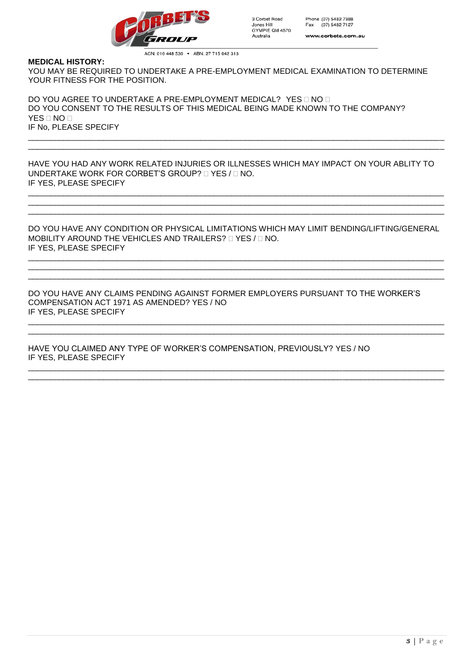

ACN: 010 448 530 . ABN: 27 715 042 313

#### **MEDICAL HISTORY:**

YOU MAY BE REQUIRED TO UNDERTAKE A PRE-EMPLOYMENT MEDICAL EXAMINATION TO DETERMINE YOUR FITNESS FOR THE POSITION.

DO YOU AGREE TO UNDERTAKE A PRE-EMPLOYMENT MEDICAL? YES ONO O DO YOU CONSENT TO THE RESULTS OF THIS MEDICAL BEING MADE KNOWN TO THE COMPANY? YES  $\Box$  NO  $\Box$ IF No, PLEASE SPECIFY

HAVE YOU HAD ANY WORK RELATED INJURIES OR ILLNESSES WHICH MAY IMPACT ON YOUR ABLITY TO UNDERTAKE WORK FOR CORBET'S GROUP?  $\Box$  YES /  $\Box$  NO. IF YES, PLEASE SPECIFY

\_\_\_\_\_\_\_\_\_\_\_\_\_\_\_\_\_\_\_\_\_\_\_\_\_\_\_\_\_\_\_\_\_\_\_\_\_\_\_\_\_\_\_\_\_\_\_\_\_\_\_\_\_\_\_\_\_\_\_\_\_\_\_\_\_\_\_\_\_\_\_\_\_\_\_\_\_\_\_\_\_\_\_\_\_\_\_\_\_\_\_\_\_\_ \_\_\_\_\_\_\_\_\_\_\_\_\_\_\_\_\_\_\_\_\_\_\_\_\_\_\_\_\_\_\_\_\_\_\_\_\_\_\_\_\_\_\_\_\_\_\_\_\_\_\_\_\_\_\_\_\_\_\_\_\_\_\_\_\_\_\_\_\_\_\_\_\_\_\_\_\_\_\_\_\_\_\_\_\_\_\_\_\_\_\_\_\_\_ \_\_\_\_\_\_\_\_\_\_\_\_\_\_\_\_\_\_\_\_\_\_\_\_\_\_\_\_\_\_\_\_\_\_\_\_\_\_\_\_\_\_\_\_\_\_\_\_\_\_\_\_\_\_\_\_\_\_\_\_\_\_\_\_\_\_\_\_\_\_\_\_\_\_\_\_\_\_\_\_\_\_\_\_\_\_\_\_\_\_\_\_\_\_

\_\_\_\_\_\_\_\_\_\_\_\_\_\_\_\_\_\_\_\_\_\_\_\_\_\_\_\_\_\_\_\_\_\_\_\_\_\_\_\_\_\_\_\_\_\_\_\_\_\_\_\_\_\_\_\_\_\_\_\_\_\_\_\_\_\_\_\_\_\_\_\_\_\_\_\_\_\_\_\_\_\_\_\_\_\_\_\_\_\_\_\_\_\_ \_\_\_\_\_\_\_\_\_\_\_\_\_\_\_\_\_\_\_\_\_\_\_\_\_\_\_\_\_\_\_\_\_\_\_\_\_\_\_\_\_\_\_\_\_\_\_\_\_\_\_\_\_\_\_\_\_\_\_\_\_\_\_\_\_\_\_\_\_\_\_\_\_\_\_\_\_\_\_\_\_\_\_\_\_\_\_\_\_\_\_\_\_\_

DO YOU HAVE ANY CONDITION OR PHYSICAL LIMITATIONS WHICH MAY LIMIT BENDING/LIFTING/GENERAL MOBILITY AROUND THE VEHICLES AND TRAILERS?  $\Box$  YES /  $\Box$  NO. IF YES, PLEASE SPECIFY

\_\_\_\_\_\_\_\_\_\_\_\_\_\_\_\_\_\_\_\_\_\_\_\_\_\_\_\_\_\_\_\_\_\_\_\_\_\_\_\_\_\_\_\_\_\_\_\_\_\_\_\_\_\_\_\_\_\_\_\_\_\_\_\_\_\_\_\_\_\_\_\_\_\_\_\_\_\_\_\_\_\_\_\_\_\_\_\_\_\_\_\_\_\_ \_\_\_\_\_\_\_\_\_\_\_\_\_\_\_\_\_\_\_\_\_\_\_\_\_\_\_\_\_\_\_\_\_\_\_\_\_\_\_\_\_\_\_\_\_\_\_\_\_\_\_\_\_\_\_\_\_\_\_\_\_\_\_\_\_\_\_\_\_\_\_\_\_\_\_\_\_\_\_\_\_\_\_\_\_\_\_\_\_\_\_\_\_\_ \_\_\_\_\_\_\_\_\_\_\_\_\_\_\_\_\_\_\_\_\_\_\_\_\_\_\_\_\_\_\_\_\_\_\_\_\_\_\_\_\_\_\_\_\_\_\_\_\_\_\_\_\_\_\_\_\_\_\_\_\_\_\_\_\_\_\_\_\_\_\_\_\_\_\_\_\_\_\_\_\_\_\_\_\_\_\_\_\_\_\_\_\_\_

\_\_\_\_\_\_\_\_\_\_\_\_\_\_\_\_\_\_\_\_\_\_\_\_\_\_\_\_\_\_\_\_\_\_\_\_\_\_\_\_\_\_\_\_\_\_\_\_\_\_\_\_\_\_\_\_\_\_\_\_\_\_\_\_\_\_\_\_\_\_\_\_\_\_\_\_\_\_\_\_\_\_\_\_\_\_\_\_\_\_\_\_\_\_ \_\_\_\_\_\_\_\_\_\_\_\_\_\_\_\_\_\_\_\_\_\_\_\_\_\_\_\_\_\_\_\_\_\_\_\_\_\_\_\_\_\_\_\_\_\_\_\_\_\_\_\_\_\_\_\_\_\_\_\_\_\_\_\_\_\_\_\_\_\_\_\_\_\_\_\_\_\_\_\_\_\_\_\_\_\_\_\_\_\_\_\_\_\_

\_\_\_\_\_\_\_\_\_\_\_\_\_\_\_\_\_\_\_\_\_\_\_\_\_\_\_\_\_\_\_\_\_\_\_\_\_\_\_\_\_\_\_\_\_\_\_\_\_\_\_\_\_\_\_\_\_\_\_\_\_\_\_\_\_\_\_\_\_\_\_\_\_\_\_\_\_\_\_\_\_\_\_\_\_\_\_\_\_\_\_\_\_\_ \_\_\_\_\_\_\_\_\_\_\_\_\_\_\_\_\_\_\_\_\_\_\_\_\_\_\_\_\_\_\_\_\_\_\_\_\_\_\_\_\_\_\_\_\_\_\_\_\_\_\_\_\_\_\_\_\_\_\_\_\_\_\_\_\_\_\_\_\_\_\_\_\_\_\_\_\_\_\_\_\_\_\_\_\_\_\_\_\_\_\_\_\_\_

DO YOU HAVE ANY CLAIMS PENDING AGAINST FORMER EMPLOYERS PURSUANT TO THE WORKER'S COMPENSATION ACT 1971 AS AMENDED? YES / NO IF YES, PLEASE SPECIFY

HAVE YOU CLAIMED ANY TYPE OF WORKER'S COMPENSATION, PREVIOUSLY? YES / NO IF YES, PLEASE SPECIFY